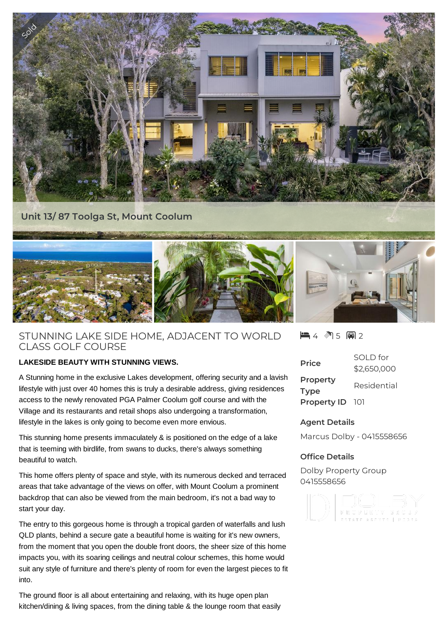

# STUNNING LAKE SIDE HOME, ADJACENT TO WORLD CLASS GOLF COURSE

## **LAKESIDE BEAUTY WITH STUNNING VIEWS.**

A Stunning home in the exclusive Lakes development, offering security and a lavish lifestyle with just over 40 homes this is truly a desirable address, giving residences access to the newly renovated PGA Palmer Coolum golf course and with the Village and its restaurants and retail shops also undergoing a transformation, lifestyle in the lakes is only going to become even more envious.

This stunning home presents immaculately & is positioned on the edge of a lake that is teeming with birdlife, from swans to ducks, there's always something beautiful to watch.

This home offers plenty of space and style, with its numerous decked and terraced areas that take advantage of the views on offer, with Mount Coolum a prominent backdrop that can also be viewed from the main bedroom, it's not a bad way to start your day.

The entry to this gorgeous home is through a tropical garden of waterfalls and lush QLD plants, behind a secure gate a beautiful home is waiting for it's new owners, from the moment that you open the double front doors, the sheer size of this home impacts you, with its soaring ceilings and neutral colour schemes, this home would suit any style of furniture and there's plenty of room for even the largest pieces to fit into.

The ground floor is all about entertaining and relaxing, with its huge open plan kitchen/dining & living spaces, from the dining table & the lounge room that easily  $-4$   $-35$   $-2$ 

| <b>Price</b>            | SOI D for<br>\$2,650,000 |
|-------------------------|--------------------------|
| Property<br><b>Type</b> | Residential              |
| <b>Property ID</b>      | - 101                    |

## **Agent Details**

Marcus Dolby - 0415558656

## **Office Details**

Dolby Property Group 0415558656